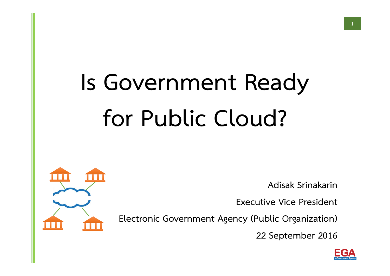# **Is Government Ready for Public Cloud?**

**Adisak Srinakarin**

**Executive Vice President**

**Electronic Government Agency (Public Organization)**

**22 September 2016** 



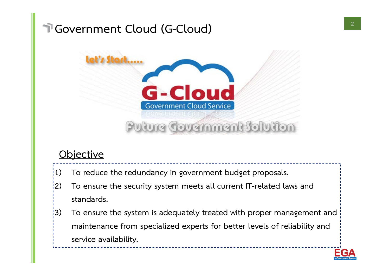#### **Government Cloud (G-Cloud)**



#### **Objective**

- **1) To reduce the redundancy in government budget proposals.**
- **2) To ensure the security system meets all current IT-related laws and standards.**
- **3) To ensure the system is adequately treated with proper management and maintenance from specialized experts for better levels of reliability and service availability.**

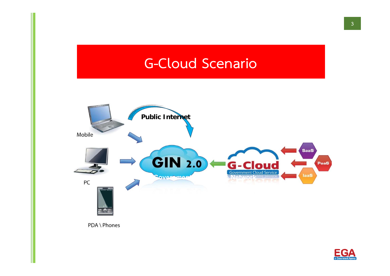#### **G-Cloud Scenario**



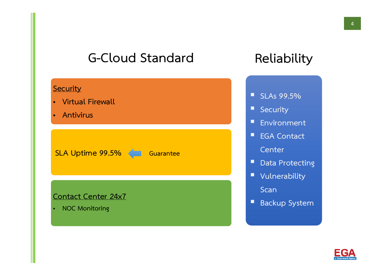#### **G-Cloud StandardReliability**

## **Security** • **Virtual Firewall** • **Antivirus SLA Uptime 99.5% < Guarantee Contact Center 24x7** • **NOC Monitoring**

#### **SLAs 99.5%**

- **Security**
- **Environment**
- **EGA Contact Center**
- Data Protecting
- **Vulnerability**

**Scan**

 $\blacksquare$ **Backup System**

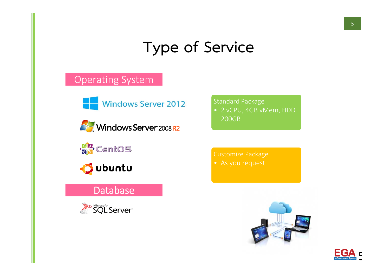### **Type of Service**

#### Operating System

Windows Server 2012







#### Database



#### Standard Package

• 2 vCPU, 4GB vMem, HDD 200GB

Customize Package



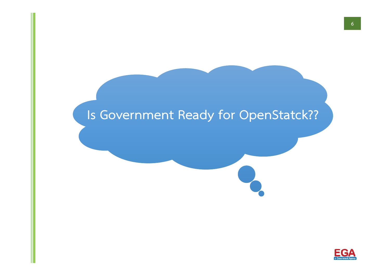#### **Is Government Ready for OpenStatck??**

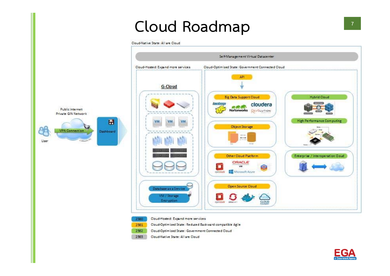#### **Cloud Roadmap**

Cloud-Native State: All are Cloud





- 2550 Cloud-Hosted: Expand more services
- Cloud-Optimized State: Reduced Backward compatible Agile 2561
- 2562 Cloud-Optimized State: Government Connected Cloud
- 2563 Cloud-Native State: All are Cloud

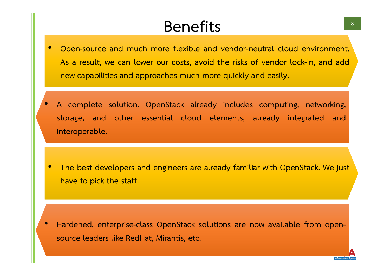#### **Benefits**

- $\bullet$  **Open-source and much more flexible and vendor-neutral cloud environment. As a result, we can lower our costs, avoid the risks of vendor lock-in, and add new capabilities and approaches much more quickly and easily.**
- **A complete solution. OpenStack already includes computing, networking, storage, and other essential cloud elements, already integrated and interoperable.**

•

 $\bullet$  **The best developers and engineers are already familiar with OpenStack. We just have to pick the staff.**

 $\bullet$  **Hardened, enterprise-class OpenStack solutions are now available from opensource leaders like RedHat, Mirantis, etc.**

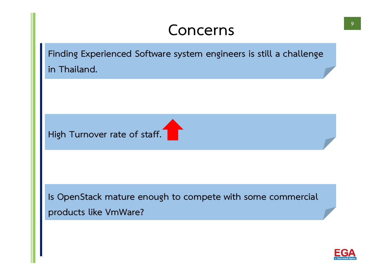#### **Concerns**

**Finding Experienced Software system engineers is still a challenge in Thailand.**

**High Turnover rate of staff.**

**Is OpenStack mature enough to compete with some commercial products like VmWare?**

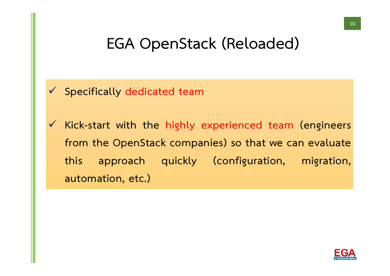#### **EGA OpenStack (Reloaded)**



 **Kick-start with the highly experienced team (engineers from the OpenStack companies) so that we can evaluate this approach quickly (configuration, migration, automation, etc.)**

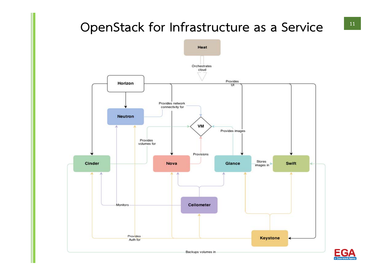#### **OpenStack for Infrastructure as a Service**



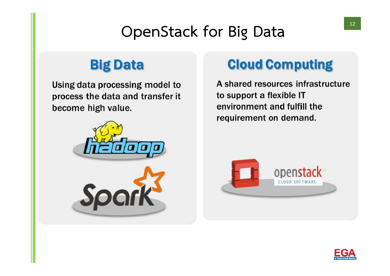### **OpenStack for Big Data**

#### **Big Data**

Using data processing model to process the data and transfer it become high value.



#### **Cloud Computing**

A shared resources infrastructure to support a flexible IT environment and fulfill the requirement on demand.



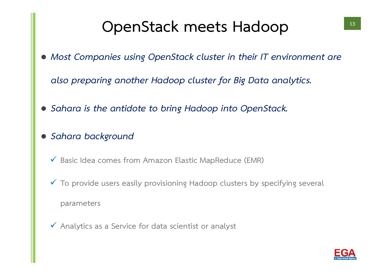### **OpenStack meets Hadoop**

*Most Companies using OpenStack cluster in their IT environment are* 

*also preparing another Hadoop cluster for Big Data analytics.*

- *Sahara is the antidote to bring Hadoop into OpenStack.*
- $\bullet$  *Sahara background*
	- **Basic Idea comes from Amazon Elastic MapReduce (EMR)**
	- **To provide users easily provisioning Hadoop clusters by specifying several**

**parameters**

**Analytics as a Service for data scientist or analyst**

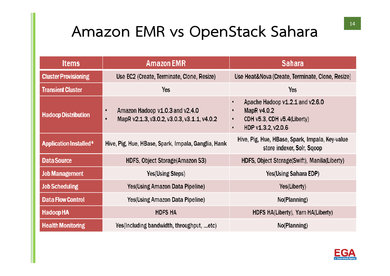### **Amazon EMR vs OpenStack Sahara**

| <b>Items</b>                | <b>Amazon EMR</b>                                                                                        | <b>Sahara</b>                                                                                             |
|-----------------------------|----------------------------------------------------------------------------------------------------------|-----------------------------------------------------------------------------------------------------------|
| <b>Cluster Provisioning</b> | Use EC2 (Create, Terminate, Clone, Resize)                                                               | Use Heat&Nova (Create, Terminate, Clone, Resize)                                                          |
| <b>Transient Cluster</b>    | Yes                                                                                                      | Yes                                                                                                       |
| <b>Hadoop Distribution</b>  | Amazon Hadoop v1.0.3 and v2.4.0<br>$\bullet$<br>MapR v2.1.3, v3.0.2, v3.0.3, v3.1.1, v4.0.2<br>$\bullet$ | Apache Hadoop v1.2.1 and v2.6.0<br>MapR v4.0.2<br>CDH $v5.3$ , CDH $v5.4$ (Liberty)<br>HDP v1.3.2, v2.0.6 |
| Application Installed*      | Hive, Pig, Hue, HBase, Spark, Impala, Ganglia, Hank                                                      | Hive, Pig, Hue, HBase, Spark, Impala, Key-value<br>store indexer, Solr, Sqoop                             |
| Data Source                 | HDFS, Object Storage (Amazon S3)                                                                         | HDFS, Object Storage (Swift), Manila (Liberty)                                                            |
| <b>Job Management</b>       | Yes (Using Steps)                                                                                        | Yes (Using Sahara EDP)                                                                                    |
| <b>Job Scheduling</b>       | Yes(Using Amazon Data Pipeline)                                                                          | Yes(Liberty)                                                                                              |
| <b>Data Flow Control</b>    | Yes(Using Amazon Data Pipeline)                                                                          | No(Planning)                                                                                              |
| <b>Hadoop HA</b>            | <b>HDFS HA</b>                                                                                           | HDFS HA(Liberty), Yarn HA(Liberty)                                                                        |
| <b>Health Monitoring</b>    | Yes(Including bandwidth, throughput, etc)                                                                | No(Planning)                                                                                              |

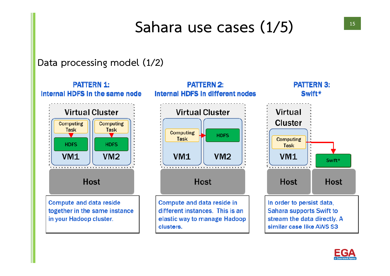### **Sahara use cases (1/5)**

#### **Data processing model (1/2)**



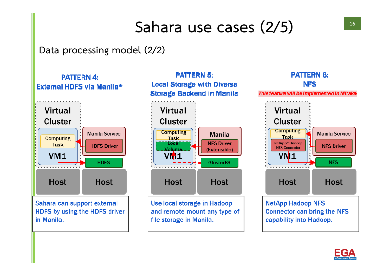### **Sahara use cases (2/5)**

**Data processing model (2/2)**

**PATTERN 4:** External HDFS via Manila\*



Sahara can support external HDFS by using the HDFS driver in Manila.



Use local storage in Hadoop and remote mount any type of file storage in Manila.



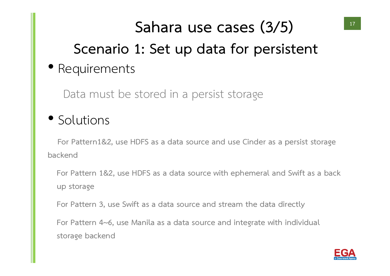### **Scenario 1: Set up data for persistent** • Requirements **Sahara use cases (3/5)**

Data must be stored in a persist storage

#### • Solutions

**For Pattern1&2, use HDFS as a data source and use Cinder as a persist storage backend**

**For Pattern 1&2, use HDFS as a data source with ephemeral and Swift as a back up storage** 

**For Pattern 3, use Swift as a data source and stream the data directly**

**For Pattern 4~6, use Manila as a data source and integrate with individual storage backend**

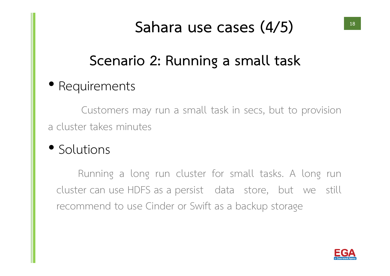### **Sahara use cases (4/5)**

#### **Scenario 2: Running a small task**

#### • Requirements

Customers may run a small task in secs, but to provision a cluster takes minutes

#### • Solutions

Running a long run cluster for small tasks. A long run cluster can use HDFS as a persist data store, but we still recommend to use Cinder or Swift as a backup storage

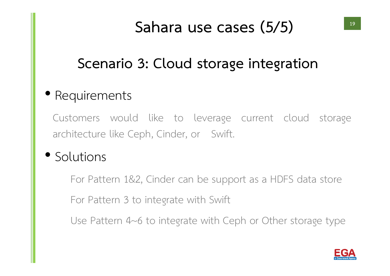### **Sahara use cases (5/5)**

#### **Scenario 3: Cloud storage integration**

#### • Requirements

Customers would like to leverage current cloud storage architecture like Ceph, Cinder, or Swift.

#### • Solutions

For Pattern 1&2, Cinder can be support as a HDFS data store

For Pattern 3 to integrate with Swift

Use Pattern 4~6 to integrate with Ceph or Other storage type